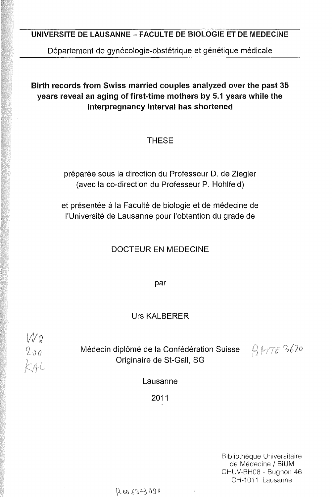## UNIVERSITE DE LAUSANNE - FACULTE DE BIOLOGIE ET DE MEDECINE

Département de gynécologie-obstétrique et génétique médicale

## Birth records from Swiss married couples analyzed over the past 35 years reveal an aging of first-time mothers by 5.1 years while the interpregnancy interval has shortened

## **THESE**

préparée sous la direction du Professeur D. de Ziegler (avec la co-direction du Professeur P. Hohlfeld)

et présentée à la Faculté de biologie et de médecine de l'Université de Lausanne pour l'obtention du grade de

### DOCTEUR EN MEDECINE

par

### Urs KALBERER

 $\begin{array}{c} W & Q \\ Q & Q & Q \\ K & Q & Q \\ K & P & Q \end{array}$ 

Médecin diplômé de la Confédération Suisse Originaire de St-Gall, SG

 $BHTE^3620$ 

Lausanne

2011

Bibliothèque Universitaire de Médecine/ BiUM CHUV-BH08 - Bugnon 46 CH-1011 Lausanne

R 00 6373090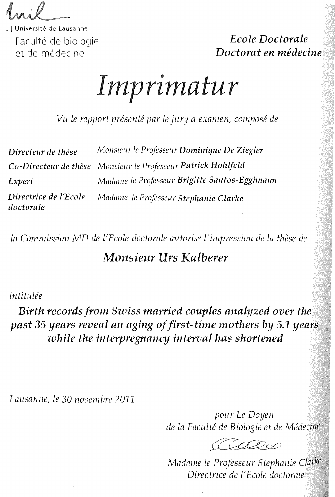. 1 Université de Lausanne Faculté de biologie et de médecine

*Ecole Doctorale Doctorat en médecine* 

**Imprimatur** 

*Vu le rapport présenté par le jury d* <sup>1</sup> *exmnen, composé de* 

| Directeur de thèse                 | Monsieur le Professeur Dominique De Ziegler                   |
|------------------------------------|---------------------------------------------------------------|
|                                    | Co-Directeur de thèse Monsieur le Professeur Patrick Hohlfeld |
| Expert                             | Madame le Professeur Brigitte Santos-Eggimann                 |
| Directrice de l'Ecole<br>doctorale | Madame le Professeur Stephanie Clarke                         |

*la Commission MD de l'Ecole doctorale autorise l* 1 *inzpression de la thèse de* 

# *Monsieur Urs Kalberer*

## *intitulée*

*Birth records from Swiss married couples analyzed over the past* 35 *years reveal an aging of first-time mothers by 5.1 years while the interpregnancy interval has shortened* 

*Lausanne, le* 30 *novembre* 2011

*pour Le Doyen de la Faculté de Biologie et de Médecine* 

Called

*Madame le Professeur Stephanie Directrice de !'Ecole doctorale*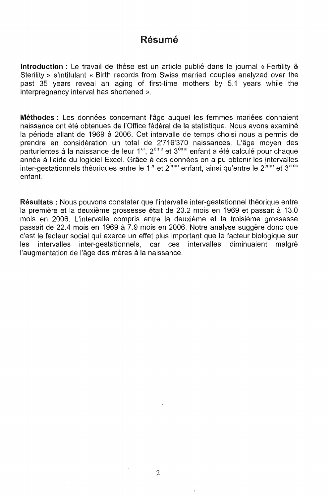# Résumé

Introduction : Le travail de thèse est un article publié dans le journal « Fertility & Sterility » s'intitulant « Birth records from Swiss married couples analyzed over the past 35 years reveal an aging of first-time mothers by 5.1 years while the interpregnancy interval has shortened ».

Méthodes : Les données concernant l'âge auquel les femmes mariées donnaient naissance ont été obtenues de l'Office fédéral de la statistique. Nous avons examiné la période allant de 1969 à 2006. Cet intervalle de temps choisi nous a permis de prendre en considération un total de 2'716'370 naissances. L'âge moyen des parturientes à la naissance de leur 1<sup>er</sup>, 2<sup>ème</sup> et 3<sup>ème</sup> enfant a été calculé pour chaque année à l'aide du logiciel Excel. Grâce à ces données on a pu obtenir les intervalles inter-gestationnels théoriques entre le 1<sup>er</sup> et 2<sup>ème</sup> enfant, ainsi qu'entre le 2<sup>ème</sup> et 3<sup>ème</sup> enfant.

Résultats : Nous pouvons constater que l'intervalle inter-gestationnel théorique entre la première et la deuxième grossesse était de 23.2 mois en 1969 et passait à 13.0 mois en 2006. L'intervalle compris entre la deuxième et la troisième grossesse passait de 22.4 mois en 1969 à 7.9 mois en 2006. Notre analyse suggère donc que c'est le facteur social qui exerce un effet plus important que le facteur biologique sur les intervalles inter-gestationnels, car ces intervalles diminuaient malgré l'augmentation de l'âge des mères à la naissance.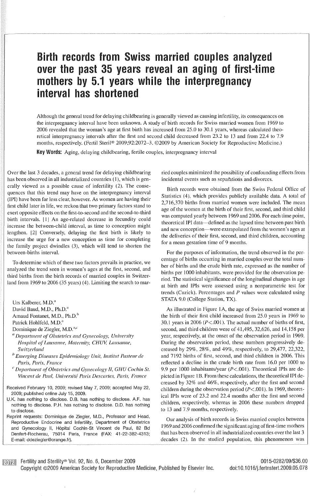# Birth records from Swiss married couples analyzed over the past 35 years reveal an aging of first-time mothers by 5.1 years while the interpregnancy interval has shortened

Although the general trend for delaying childbearing is generally viewed as causing infertility, its consequences on the intcrpregnancy interval have bcen unknown. A study of birth records for Swiss married women from 1969 to 2006 revealed that the woman's age at first birth has increased from 25.0 to 30.1 years, whereas calculated theoretical interpregnancy intervals after the first and second child decreased from 23.2 to 13 and from 22.4 to 7.9 months, respectively. (Fertil Steril® 2009;92:2072-3. ©2009 by American Society for Reproductive Medicine.)

Key Words: Aging, delaying childbearing, fertile couples, intcrpregnancy interval

Over the last 3 decades, a general trend for delaying childbearing has been observed in all industrialized countries (1), which is gencrally viewed as a possible cause of infertility (2). The consequenccs that this trend may have on the interpregnancy interval (IPI) have been far less clear, however. As women are having their first child later in life, we reckon that two primary factors stand to cxert opposite effects on the first-to-second and the second-to-third birth intervals. [1] An age-related decrease in fecundity could increase the between-child intcrval, as time to conception might lengthen. 121 Conversely, delaying the first birth is likely to increase the urge for a new conception as time for completing the family project dwindles (3), which will tend to shorten the betwecn-births interval.

To dctcrmine which of thesc two factors prevails in practice, we analyzcd the trend seen in women's ages at the first, second, and third births from the birth records of marricd couples in Switzerland from 1969 to 2006 (35 years) (4). Limiting the search to mar-

Urs Kalberer, M.D.<sup>a</sup>

David Baud, M.D., Ph.D."

Arnaud Fontanet, M.D., Ph.D.<sup>b</sup>

Patrick Hohlfeld, M.D.<sup>a</sup>

Dominique de Ziegler, M.D.<sup>a,c</sup>

- <sup>*a*</sup> Department of Obstetrics and Gynecology, University *Hospital of Lausanne, Maternity, CHUV, Lausanne, S1Fitzerland*
- <sup>*b*</sup> Emerging Diseases Epidemiology Unit, Institut Pasteur de *Paris, Paris, France*
- $c$  *Department of Obstetrics and Gynecology II, GHU Cochin St.* Vincent de Paul, Université Paris Descartes, Paris, France

Received February 10, 2009; revised May 7, 2009; accepted May 22, 2009; published online July 15, 2009.

U.K. has nothing to disclose. D.B. has nothing to disclose. A.F. has nothing to disclose. P.H. has nothing to disclose. D.D. has nothing to disclose.

Reprint requests: Dominique de Ziegler, M.D., Professor and Head, Reproductive Endocrine and lnfertility, Department of Obstetrics and Gynecology li, Hôpital Cochin-St Vincent de Paul, 82 Bd Denfert-Rocherau, 75014 Paris, France (FAX: 41-22-382-4313; E-mail: ddeziegler@orange.fr).

ried couples minimizcd the possibility of confounding effects from incidental events such as separations and divorces.

Birth records were obtained from the Swiss Federal Office of Statistics (4), which provides publicly available data. A total of 2,716,370 births from married women were included. The mean age of the women at the birth of their first, second, and third child was computed yearly between 1969 and 2006. For each time point, theoretical IPI data-defined as the lapsed time between past birth and new conception—were extrapolated from the women's ages at the deliveries of their first, second, and third children, accounting for a mcan gestation time of 9 months.

For the purposes of information, the trend observed in the percentage of births occurring in married couples over the total number of births and the crude birth rate, expressed as the number of births per 1000 inhabitants, were provided for the observation period. The statistical significance of the longitudinal changes in age at birth and IPis werc asscssed using a nonparametric test for trends (Cuzick). Percentages and  $P$  values were calculated using STATA 9.0 (College Station, TX).

As illustrated in Figure 1 A, the age of Swiss married women at the birth of their first child increased from 25.0 years in 1969 to 30.1 years in 2006 ( $P < .001$ ). The actual number of births of first, second, and third children were of 41,495, 32,626, and 14,158 per year, respectively, at the onset of the observation period in 1969. During the observation period, these numbers progressively decreased by 29%, 28%, and 49%, respectivcly, to 29,477, 22,322, and 7192 births of first, second, and third children in 2006. This reflected a decline in the crude birth rate from 16.0 per 1000 to 9.9 per 1000 inhabitants/year (P<.001). Theoretical IPis are depicted in Figure 1 B. From these calculations, the theoretical IPI decreased by 32% and 46%, respcctively, after the first and second children during the observation period  $(P<.001)$ . In 1969, theoretical IPIs were of 23.2 and 22.4 months after the first and second children, respectively, whereas in 2006 these numbers dropped to 13 and 7.9 months, respectively.

Our analysis of birth records in Swiss married couples between 1969 and 2006 confirmed the significant aging of first-time mothers that has been observed in all industrialized countries over the last 3 decades (2). In the studied population, this phenomenon was

**Farth** Fertility and Sterility® Vol. 92, No. 6, December 2009

Copyright ©2009 American Society for Reproductive Medicine, Published by Elsevier lnc.

0015-0282/09/\$36.00 doi:10.1016/j.fertnstert.2009.05.078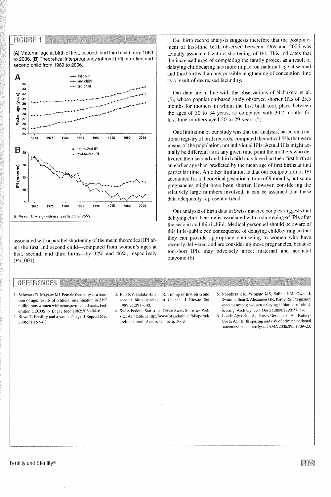#### **FIGURE 1**

(A) Maternal age at birth of first, second, and third child from 1969 to 2006. **(B)** Theoretical interpregnancy interval (IPI) after first and second child from 1969 to 2006.



associated with a parallel shortening of the mean theoretical IPI after the first and second child-computed from women's ages at first, second, and third births-by 32% and 46%, respectively  $(P<.001)$ .

Our birth record analysis suggests thereforc that the postponement of first-time birth observed between 1969 and 2006 was actually associated with a shortening of IPI. This indicates that the increased urge of completing the family project as a result of delaying ehildbearing has more impact on maternai age at second and third births than any possible lengthening of conception time as a result of decreased fecundity.

Our data are in line with the observations of Nabukera et al. (5), whose population-based study observed shorter !Pls of 25.3 months for mothers in whom the first birth took place between the ages of 30 to 34 years, as compared with 30.7 months for first-time mothers aged 20 to 29 years (5).

One limitation of our study was that our analysis, based on a national registry of birth records, computed theoretical IPIs that were means of the population, not individual IPis. Actual IPis might actually be different, as at any given time point the mothers who delivered their second and third child may have had their first birth at an earlier age than predicted by the mean age of first births at that particular time. An other limitation is that our computation of IPI accounted for a theoretical gestational time of 9 months, but some pregnancies might have been shorter. However, considering the relatively large numbers involved, it can be assumed that these data adequately represent a trend.

Our analysis of birth data in Swiss married couples suggests that delaying child bearing is associated with a shortening of IPis after the second and third child. Medical personnel should be aware of this little-publicized consequence of delaying childbearing so that they can provide appropriate counseling to women who have recently delivered and are considering more pregnancies, because too-short IPIs may adversely affect maternal and neonatal outcome (6).

#### **REFERENCES**

- 1. Schwartz D, Mayaux MJ. Female fecundity as a func**tion of age: rcsults of artificial insemination in 2193 nulliparous womcn with azoospermie husbands. Fed**eration CECOS. N Engl J Med 1982;306:404-6.
- 2. Rowe T. Fertility and a woman's age. J Rcprod Med 2006;5I:157-63.
- 3. Rao KV, Balakrishnan TR. Timing of first birth and **second birth spacing in Canada. J Biosoc Sei**  1989;2 l :293-300.
- 4. Swiss Federal Statistical Office Swiss Statistics Web site. Available at http://www.bfs.admin.ch/bfs/portal/ en/index.html. Accessed June 6. 2009.
- 5. Nabukera SK, Wingate MS. Salihu HM, Owen J, Swaminathan S, Alexander GR, Kirby RS. Pregnancy spacing among women delaying initiation of childbearing. Arch Gynecol Obstet 2008;279:677-84.
- 6. Conde-Agudelo A, Rosas-Bermudcz A. Kafüry· **Goeta AC. Birth spacing and risk of adverse perinatnl**  outcomes: a meta-analysis. JAMA 2006;295:1809--23.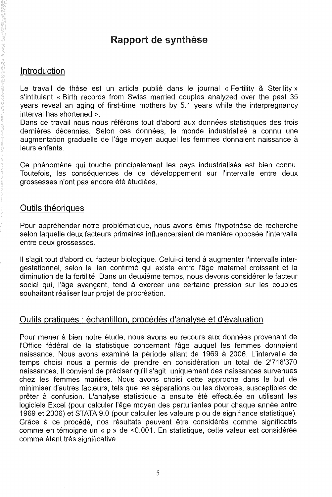# Rapport de synthèse

## Introduction

Le travail de thèse est un article publié dans le journal « Fertility & Sterility » s'intitulant « Birth records from Swiss married couples analyzed over the past 35 years reveal an aging of first-time mothers by 5.1 years while the interpregnancy interval has shortened ».

Dans ce travail nous nous référons tout d'abord aux données statistiques des trois dernières décennies. Selon ces données, le monde industrialisé a connu une augmentation graduelle de l'âge moyen auquel les femmes donnaient naissance à leurs enfants.

Ce phénomène qui touche principalement les pays industrialisés est bien connu. Toutefois, les conséquences de ce développement sur l'intervalle entre deux grossesses n'ont pas encore été étudiées.

### Outils théoriques

Pour appréhender notre problématique, nous avons émis l'hypothèse de recherche selon laquelle deux facteurs primaires influenceraient de manière opposée l'intervalle entre deux grossesses.

Il s'agit tout d'abord du facteur biologique. Celui-ci tend à augmenter l'intervalle intergestationnel, selon le lien confirmé qui existe entre l'âge maternel croissant et la diminution de la fertilité. Dans un deuxième temps, nous devons considérer le facteur social qui, l'âge avançant, tend à exercer une certaine pression sur les couples souhaitant réaliser leur projet de procréation.

## Outils pratiques : échantillon, procédés d'analyse et d'évaluation

Pour mener à bien notre étude, nous avons eu recours aux données provenant de l'Office fédéral de la statistique concernant l'âge auquel les femmes donnaient naissance. Nous avons examiné la période allant de 1969 à 2006. L'intervalle de temps choisi nous a permis de prendre en considération un total de 2'716'370 naissances. Il convient de préciser qu'il s'agit uniquement des naissances survenues chez les femmes mariées. Nous avons choisi cette approche dans le but de minimiser d'autres facteurs, tels que les séparations ou les divorces, susceptibles de prêter à confusion. L'analyse statistique a ensuite été effectuée en utilisant les logiciels Excel (pour calculer l'âge moyen des parturientes pour chaque année entre 1969 et 2006) et STATA 9.0 (pour calculer les valeurs p ou de signifiance statistique). Grâce à ce procédé, nos résultats peuvent être considérés comme significatifs comme en témoigne un « p » de <0.001. En statistique, cette valeur est considérée comme étant très significative.